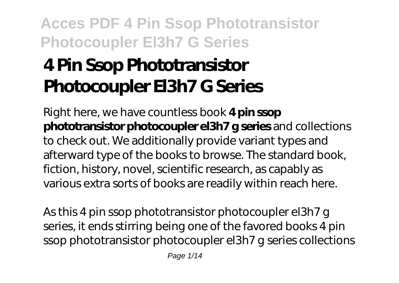# **4 Pin Ssop Phototransistor Photocoupler El3h7 G Series**

Right here, we have countless book **4 pin ssop phototransistor photocoupler el3h7 g series** and collections to check out. We additionally provide variant types and afterward type of the books to browse. The standard book, fiction, history, novel, scientific research, as capably as various extra sorts of books are readily within reach here.

As this 4 pin ssop phototransistor photocoupler el3h7 g series, it ends stirring being one of the favored books 4 pin ssop phototransistor photocoupler el3h7 g series collections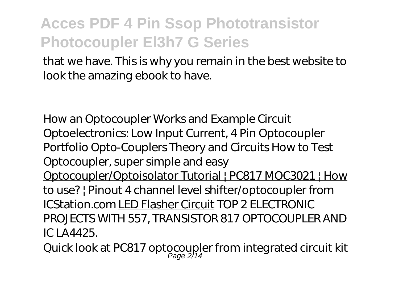that we have. This is why you remain in the best website to look the amazing ebook to have.

How an Optocoupler Works and Example Circuit *Optoelectronics: Low Input Current, 4 Pin Optocoupler Portfolio Opto-Couplers Theory and Circuits How to Test Optocoupler, super simple and easy* Optocoupler/Optoisolator Tutorial | PC817 MOC3021 | How to use? | Pinout *4 channel level shifter/optocoupler from ICStation.com* LED Flasher Circuit *TOP 2 ELECTRONIC PROJECTS WITH 557, TRANSISTOR 817 OPTOCOUPLER AND IC LA4425.*

Quick look at PC817 op tocoupler from integrated circuit kit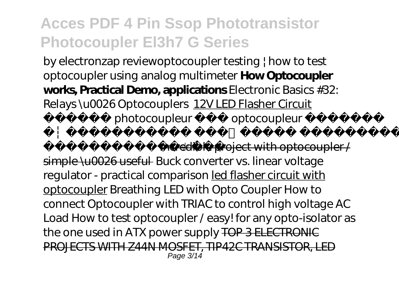by electronzap review*optocoupler testing | how to test optocoupler using analog multimeter* **How Optocoupler works, Practical Demo, applications** Electronic Basics #32: Relays \u0026 Optocouplers 12V LED Flasher Circuit photocoupleur optocoupleur

incredible project with optocoupler /

simple \u0026 useful *Buck converter vs. linear voltage regulator - practical comparison* led flasher circuit with optocoupler *Breathing LED with Opto Coupler How to connect Optocoupler with TRIAC to control high voltage AC Load How to test optocoupler / easy! for any opto-isolator as the one used in ATX power supply* TOP 3 ELECTRONIC PROJECTS WITH Z44N MOSFET, TIP42C TRANSISTOR, LED Page 3/14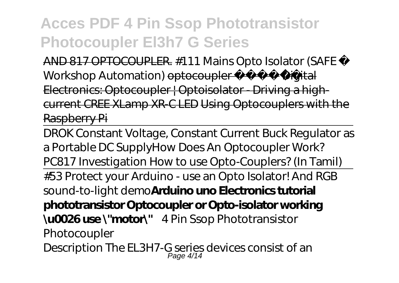AND 817 OPTOCOUPLER. #111 Mains Opto Isolator (SAFE Workshop Automation) optocoupler - Digital Electronics: Optocoupler | Optoisolator - Driving a highcurrent CREE XLamp XR-C LED Using Optocouplers with the Raspberry Pi

DROK Constant Voltage, Constant Current Buck Regulator as a Portable DC Supply*How Does An Optocoupler Work? PC817 Investigation How to use Opto-Couplers? (In Tamil)* #53 Protect your Arduino - use an Opto Isolator! And RGB sound-to-light demo**Arduino uno Electronics tutorial phototransistor Optocoupler or Opto-isolator working \u0026 use \"motor\"** *4 Pin Ssop Phototransistor Photocoupler* Description The EL3H7-G series devices consist of an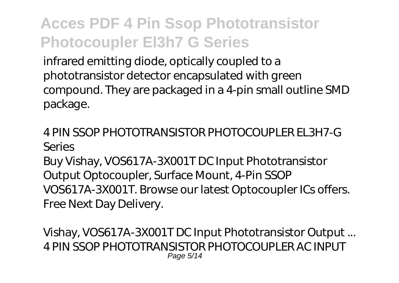infrared emitting diode, optically coupled to a phototransistor detector encapsulated with green compound. They are packaged in a 4-pin small outline SMD package.

### *4 PIN SSOP PHOTOTRANSISTOR PHOTOCOUPLER EL3H7-G Series*

Buy Vishay, VOS617A-3X001T DC Input Phototransistor Output Optocoupler, Surface Mount, 4-Pin SSOP VOS617A-3X001T. Browse our latest Optocoupler ICs offers. Free Next Day Delivery.

*Vishay, VOS617A-3X001T DC Input Phototransistor Output ...* 4 PIN SSOP PHOTOTRANSISTOR PHOTOCOUPLER AC INPUT Page 5/14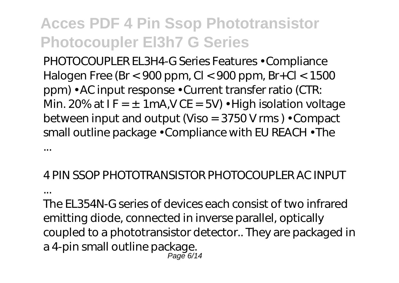PHOTOCOUPLER EL3H4-G Series Features • Compliance Halogen Free (Br < 900 ppm, Cl < 900 ppm, Br+Cl < 1500 ppm) • AC input response • Current transfer ratio (CTR: Min. 20% at  $IF = \pm 1mA$ , V CE = 5V) • High isolation voltage between input and output (Viso = 3750 V rms ) • Compact small outline package • Compliance with EU REACH • The ...

#### *4 PIN SSOP PHOTOTRANSISTOR PHOTOCOUPLER AC INPUT*

*...*

The EL354N-G series of devices each consist of two infrared emitting diode, connected in inverse parallel, optically coupled to a phototransistor detector.. They are packaged in a 4-pin small outline package. Page 6/14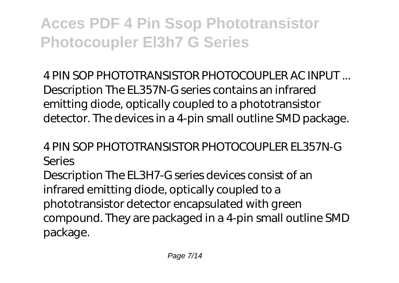*4 PIN SOP PHOTOTRANSISTOR PHOTOCOUPLER AC INPUT ...* Description The EL357N-G series contains an infrared emitting diode, optically coupled to a phototransistor detector. The devices in a 4-pin small outline SMD package.

### *4 PIN SOP PHOTOTRANSISTOR PHOTOCOUPLER EL357N-G Series*

Description The EL3H7-G series devices consist of an infrared emitting diode, optically coupled to a phototransistor detector encapsulated with green compound. They are packaged in a 4-pin small outline SMD package.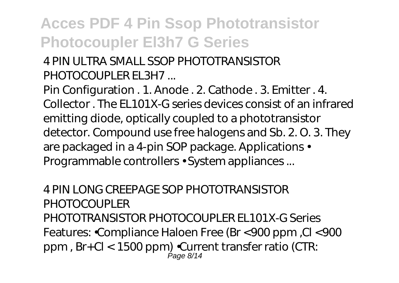### *4 PIN ULTRA SMALL SSOP PHOTOTRANSISTOR PHOTOCOUPLER EL3H7 ...*

Pin Configuration . 1. Anode . 2. Cathode . 3. Emitter . 4. Collector . The EL101X-G series devices consist of an infrared emitting diode, optically coupled to a phototransistor detector. Compound use free halogens and Sb. 2. O. 3. They are packaged in a 4-pin SOP package. Applications • Programmable controllers • System appliances ...

*4 PIN LONG CREEPAGE SOP PHOTOTRANSISTOR PHOTOCOUPLER* PHOTOTRANSISTOR PHOTOCOUPLER EL101X-G Series Features: •Compliance Haloen Free (Br <900 ppm ,Cl <900 ppm , Br+Cl < 1500 ppm) •Current transfer ratio (CTR: Page 8/14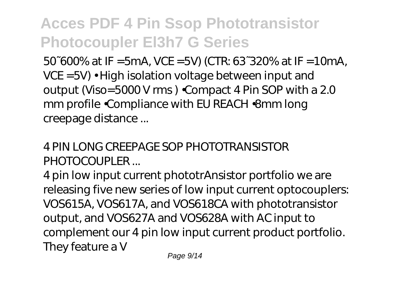50~600% at IF =5mA, VCE =5V) (CTR: 63~320% at IF =10mA, VCE =5V) • High isolation voltage between input and output (Viso=5000 V rms ) •Compact 4 Pin SOP with a 2.0 mm profile •Compliance with EU REACH •8mm long creepage distance ...

### *4 PIN LONG CREEPAGE SOP PHOTOTRANSISTOR PHOTOCOUPLER ...*

4 pin low input current phototrAnsistor portfolio we are releasing five new series of low input current optocouplers: VOS615A, VOS617A, and VOS618CA with phototransistor output, and VOS627A and VOS628A with AC input to complement our 4 pin low input current product portfolio. They feature a V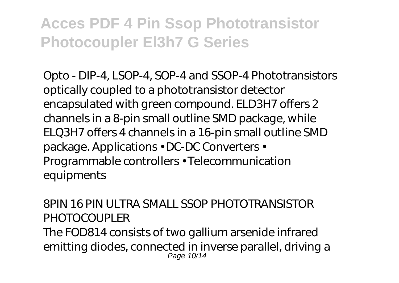*Opto - DIP-4, LSOP-4, SOP-4 and SSOP-4 Phototransistors* optically coupled to a phototransistor detector encapsulated with green compound. ELD3H7 offers 2 channels in a 8-pin small outline SMD package, while ELQ3H7 offers 4 channels in a 16-pin small outline SMD package. Applications • DC-DC Converters • Programmable controllers • Telecommunication equipments

*8PIN 16 PIN ULTRA SMALL SSOP PHOTOTRANSISTOR PHOTOCOUPLER*

The FOD814 consists of two gallium arsenide infrared emitting diodes, connected in inverse parallel, driving a Page 10/14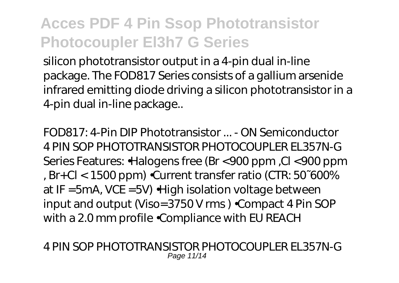silicon phototransistor output in a 4-pin dual in-line package. The FOD817 Series consists of a gallium arsenide infrared emitting diode driving a silicon phototransistor in a 4-pin dual in-line package..

*FOD817: 4-Pin DIP Phototransistor ... - ON Semiconductor* 4 PIN SOP PHOTOTRANSISTOR PHOTOCOUPLER EL357N-G Series Features: •Halogens free (Br <900 ppm ,Cl <900 ppm , Br+Cl < 1500 ppm) •Current transfer ratio (CTR: 50~600% at IF =5mA, VCE =5V) •High isolation voltage between input and output (Viso=3750 V rms ) •Compact 4 Pin SOP with a 2.0 mm profile •Compliance with EU REACH

*4 PIN SOP PHOTOTRANSISTOR PHOTOCOUPLER EL357N-G* Page 11/14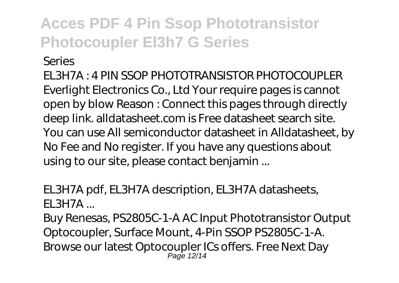#### *Series*

EL3H7A : 4 PIN SSOP PHOTOTRANSISTOR PHOTOCOUPLER Everlight Electronics Co., Ltd Your require pages is cannot open by blow Reason : Connect this pages through directly deep link. alldatasheet.com is Free datasheet search site. You can use All semiconductor datasheet in Alldatasheet, by No Fee and No register. If you have any questions about using to our site, please contact benjamin ...

### *EL3H7A pdf, EL3H7A description, EL3H7A datasheets, EL3H7A ...*

Buy Renesas, PS2805C-1-A AC Input Phototransistor Output Optocoupler, Surface Mount, 4-Pin SSOP PS2805C-1-A. Browse our latest Optocoupler ICs offers. Free Next Day Page 12/14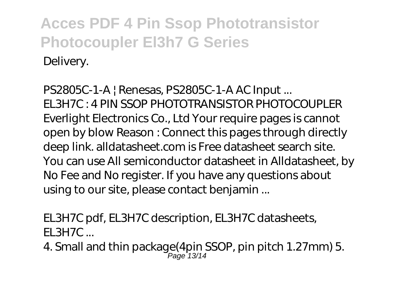*PS2805C-1-A | Renesas, PS2805C-1-A AC Input ...* EL3H7C : 4 PIN SSOP PHOTOTRANSISTOR PHOTOCOUPLER Everlight Electronics Co., Ltd Your require pages is cannot open by blow Reason : Connect this pages through directly deep link. alldatasheet.com is Free datasheet search site. You can use All semiconductor datasheet in Alldatasheet, by No Fee and No register. If you have any questions about using to our site, please contact benjamin ...

*EL3H7C pdf, EL3H7C description, EL3H7C datasheets, EL3H7C ...*

4. Small and thin package(4pin SSOP, pin pitch 1.27mm) 5. Page 13/14